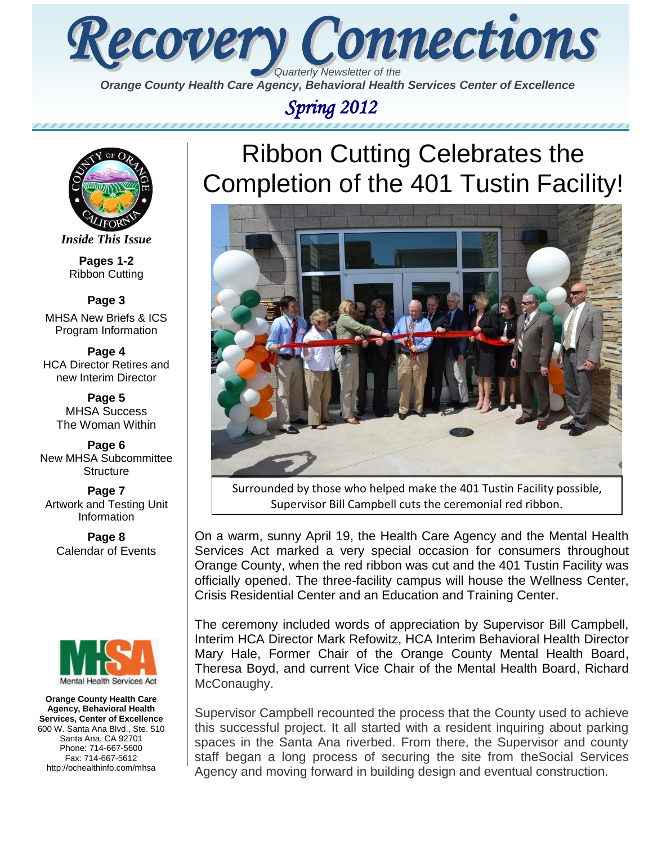

*Orange County Health Care Agency, Behavioral Health Services Center of Excellence* 

# *Spring 2012*



*Inside This Issue*

**Pages 1-2** Ribbon Cutting

**Page 3** MHSA New Briefs & ICS

Program Information

**Page 4** HCA Director Retires and new Interim Director

> **Page 5** MHSA Success The Woman Within

**Page 6** New MHSA Subcommittee **Structure** 

**Page 7** Artwork and Testing Unit Information

**Page 8** Calendar of Events



**Orange County Health Care Agency, Behavioral Health Services, Center of Excellence** 600 W. Santa Ana Blvd., Ste. 510 Santa Ana, CA 92701 Phone: 714-667-5600 Fax: 714-667-5612 http://ochealthinfo.com/mhsa

# Ribbon Cutting Celebrates the Completion of the 401 Tustin Facility!



Surrounded by those who helped make the 401 Tustin Facility possible, Supervisor Bill Campbell cuts the ceremonial red ribbon.

On a warm, sunny April 19, the Health Care Agency and the Mental Health Services Act marked a very special occasion for consumers throughout Orange County, when the red ribbon was cut and the 401 Tustin Facility was officially opened. The three-facility campus will house the Wellness Center, Crisis Residential Center and an Education and Training Center.

The ceremony included words of appreciation by Supervisor Bill Campbell, Interim HCA Director Mark Refowitz, HCA Interim Behavioral Health Director Mary Hale, Former Chair of the Orange County Mental Health Board, Theresa Boyd, and current Vice Chair of the Mental Health Board, Richard McConaughy.

Supervisor Campbell recounted the process that the County used to achieve this successful project. It all started with a resident inquiring about parking spaces in the Santa Ana riverbed. From there, the Supervisor and county staff began a long process of securing the site from theSocial Services Agency and moving forward in building design and eventual construction.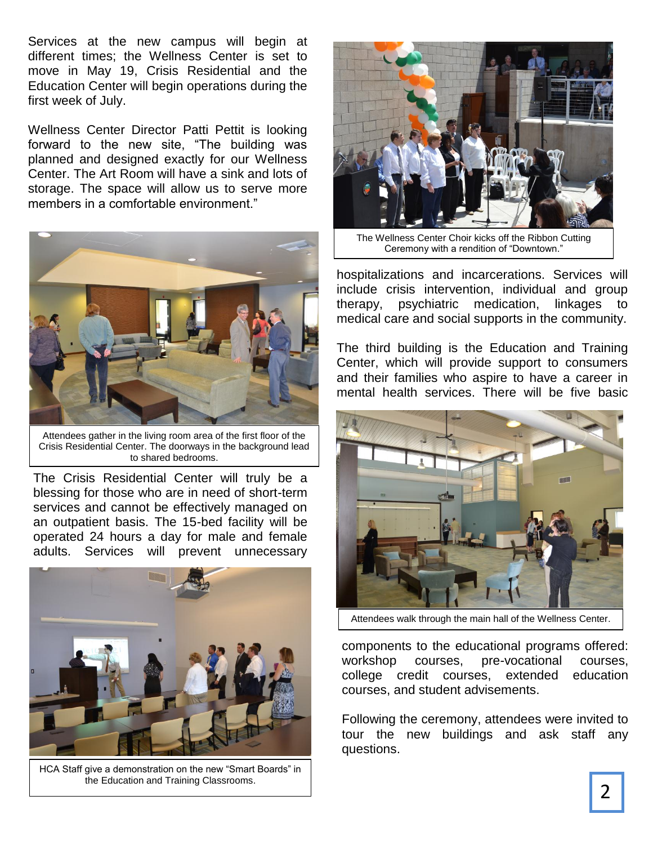Services at the new campus will begin at different times; the Wellness Center is set to move in May 19, Crisis Residential and the Education Center will begin operations during the first week of July.

Wellness Center Director Patti Pettit is looking forward to the new site, "The building was planned and designed exactly for our Wellness Center. The Art Room will have a sink and lots of storage. The space will allow us to serve more members in a comfortable environment."



Attendees gather in the living room area of the first floor of the Crisis Residential Center. The doorways in the background lead to shared bedrooms.

The Crisis Residential Center will truly be a blessing for those who are in need of short-term services and cannot be effectively managed on an outpatient basis. The 15-bed facility will be operated 24 hours a day for male and female adults. Services will prevent unnecessary



HCA Staff give a demonstration on the new "Smart Boards" in the Education and Training Classrooms.



The Wellness Center Choir kicks off the Ribbon Cutting Ceremony with a rendition of "Downtown."

hospitalizations and incarcerations. Services will include crisis intervention, individual and group therapy, psychiatric medication, linkages to medical care and social supports in the community.

The third building is the Education and Training Center, which will provide support to consumers and their families who aspire to have a career in mental health services. There will be five basic



Attendees walk through the main hall of the Wellness Center.

components to the educational programs offered: workshop courses, pre-vocational courses, college credit courses, extended education courses, and student advisements.

Following the ceremony, attendees were invited to tour the new buildings and ask staff any questions.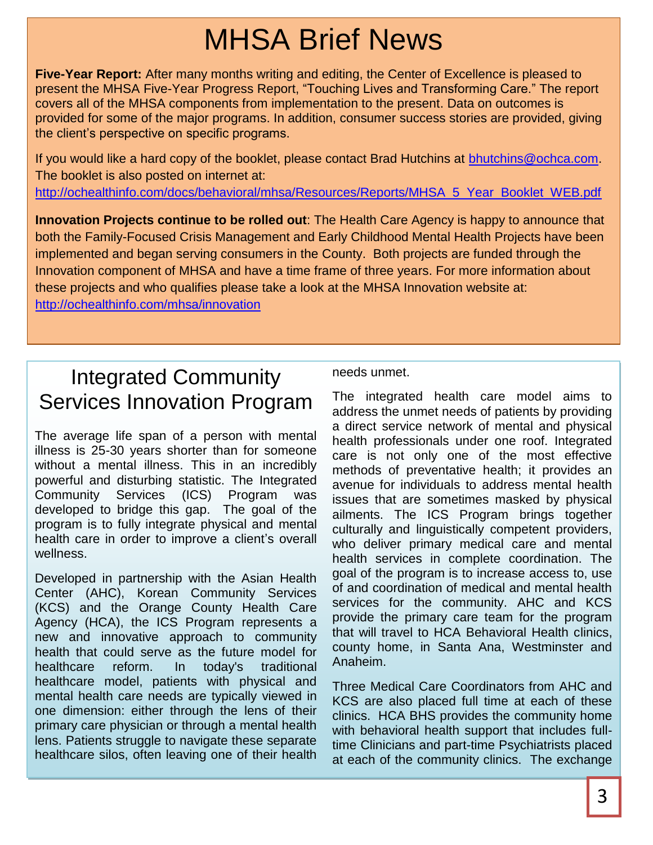# MHSA Brief News

**Five-Year Report:** After many months writing and editing, the Center of Excellence is pleased to present the MHSA Five-Year Progress Report, "Touching Lives and Transforming Care." The report covers all of the MHSA components from implementation to the present. Data on outcomes is provided for some of the major programs. In addition, consumer success stories are provided, giving the client's perspective on specific programs.

If you would like a hard copy of the booklet, please contact Brad Hutchins at [bhutchins@ochca.com.](mailto:bhutchins@ochca.com) The booklet is also posted on internet at:

[http://ochealthinfo.com/docs/behavioral/mhsa/Resources/Reports/MHSA\\_5\\_Year\\_Booklet\\_WEB.pdf](http://ochealthinfo.com/docs/behavioral/mhsa/Resources/Reports/MHSA_5_Year_Booklet_WEB.pdf)

**Innovation Projects continue to be rolled out**: The Health Care Agency is happy to announce that both the Family-Focused Crisis Management and Early Childhood Mental Health Projects have been implemented and began serving consumers in the County. Both projects are funded through the Innovation component of MHSA and have a time frame of three years. For more information about these projects and who qualifies please take a look at the MHSA Innovation website at: <http://ochealthinfo.com/mhsa/innovation>

Integrated Community Services Innovation Program

The average life span of a person with mental illness is 25-30 years shorter than for someone without a mental illness. This in an incredibly powerful and disturbing statistic. The Integrated Community Services (ICS) Program was developed to bridge this gap. The goal of the program is to fully integrate physical and mental health care in order to improve a client's overall wellness.

Developed in partnership with the Asian Health Center (AHC), Korean Community Services (KCS) and the Orange County Health Care Agency (HCA), the ICS Program represents a new and innovative approach to community health that could serve as the future model for healthcare reform. In today's traditional healthcare model, patients with physical and mental health care needs are typically viewed in one dimension: either through the lens of their primary care physician or through a mental health lens. Patients struggle to navigate these separate healthcare silos, often leaving one of their health

needs unmet.

The integrated health care model aims to address the unmet needs of patients by providing a direct service network of mental and physical health professionals under one roof. Integrated care is not only one of the most effective methods of preventative health; it provides an avenue for individuals to address mental health issues that are sometimes masked by physical ailments. The ICS Program brings together culturally and linguistically competent providers, who deliver primary medical care and mental health services in complete coordination. The goal of the program is to increase access to, use of and coordination of medical and mental health services for the community. AHC and KCS provide the primary care team for the program that will travel to HCA Behavioral Health clinics, county home, in Santa Ana, Westminster and Anaheim.

Three Medical Care Coordinators from AHC and KCS are also placed full time at each of these clinics. HCA BHS provides the community home with behavioral health support that includes fulltime Clinicians and part-time Psychiatrists placed at each of the community clinics. The exchange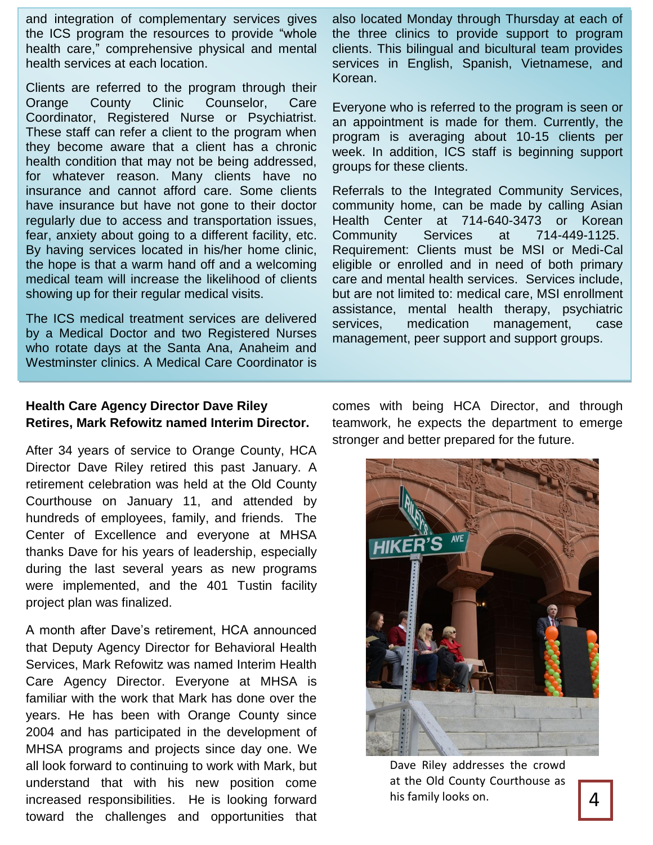and integration of complementary services gives the ICS program the resources to provide "whole health care," comprehensive physical and mental health services at each location.

Clients are referred to the program through their Orange County Clinic Counselor, Care Coordinator, Registered Nurse or Psychiatrist. These staff can refer a client to the program when they become aware that a client has a chronic health condition that may not be being addressed, for whatever reason. Many clients have no insurance and cannot afford care. Some clients have insurance but have not gone to their doctor regularly due to access and transportation issues, fear, anxiety about going to a different facility, etc. By having services located in his/her home clinic, the hope is that a warm hand off and a welcoming medical team will increase the likelihood of clients showing up for their regular medical visits.

The ICS medical treatment services are delivered by a Medical Doctor and two Registered Nurses who rotate days at the Santa Ana, Anaheim and Westminster clinics. A Medical Care Coordinator is

also located Monday through Thursday at each of the three clinics to provide support to program clients. This bilingual and bicultural team provides services in English, Spanish, Vietnamese, and Korean.

Everyone who is referred to the program is seen or an appointment is made for them. Currently, the program is averaging about 10-15 clients per week. In addition, ICS staff is beginning support groups for these clients.

Referrals to the Integrated Community Services, community home, can be made by calling Asian Health Center at 714-640-3473 or Korean Community Services at 714-449-1125. Requirement: Clients must be MSI or Medi-Cal eligible or enrolled and in need of both primary care and mental health services. Services include, but are not limited to: medical care, MSI enrollment assistance, mental health therapy, psychiatric services, medication management, case management, peer support and support groups.

## **Health Care Agency Director Dave Riley Retires, Mark Refowitz named Interim Director.**

After 34 years of service to Orange County, HCA Director Dave Riley retired this past January. A retirement celebration was held at the Old County Courthouse on January 11, and attended by hundreds of employees, family, and friends. The Center of Excellence and everyone at MHSA thanks Dave for his years of leadership, especially during the last several years as new programs were implemented, and the 401 Tustin facility project plan was finalized.

A month after Dave's retirement, HCA announced that Deputy Agency Director for Behavioral Health Services, Mark Refowitz was named Interim Health Care Agency Director. Everyone at MHSA is familiar with the work that Mark has done over the years. He has been with Orange County since 2004 and has participated in the development of MHSA programs and projects since day one. We all look forward to continuing to work with Mark, but understand that with his new position come increased responsibilities. He is looking forward toward the challenges and opportunities that

comes with being HCA Director, and through teamwork, he expects the department to emerge stronger and better prepared for the future.



Dave Riley addresses the crowd at the Old County Courthouse as his family looks on.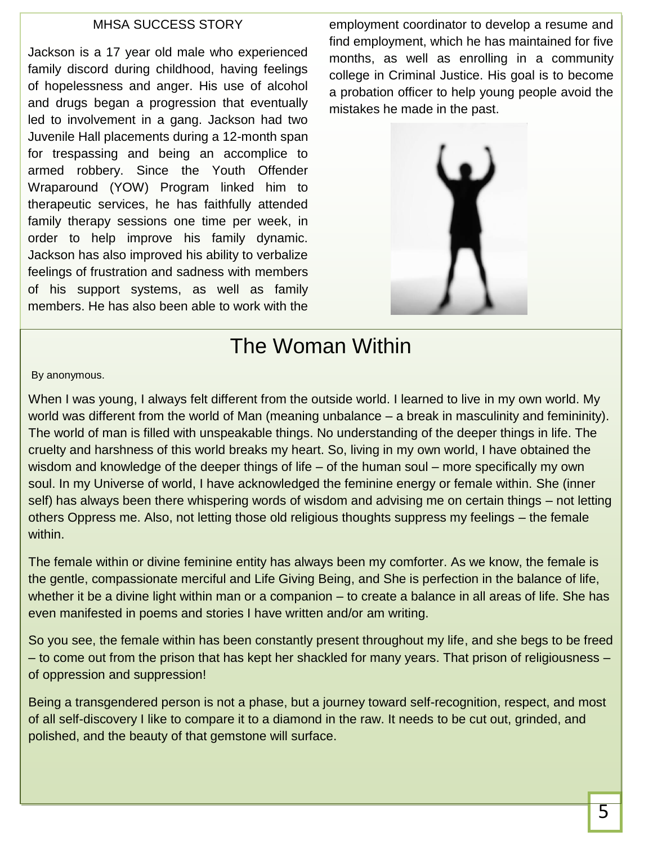## MHSA SUCCESS STORY

Jackson is a 17 year old male who experienced family discord during childhood, having feelings of hopelessness and anger. His use of alcohol and drugs began a progression that eventually led to involvement in a gang. Jackson had two Juvenile Hall placements during a 12-month span for trespassing and being an accomplice to armed robbery. Since the Youth Offender Wraparound (YOW) Program linked him to therapeutic services, he has faithfully attended family therapy sessions one time per week, in order to help improve his family dynamic. Jackson has also improved his ability to verbalize feelings of frustration and sadness with members of his support systems, as well as family members. He has also been able to work with the

employment coordinator to develop a resume and find employment, which he has maintained for five months, as well as enrolling in a community college in Criminal Justice. His goal is to become a probation officer to help young people avoid the mistakes he made in the past.



# The Woman Within

By anonymous.

When I was young, I always felt different from the outside world. I learned to live in my own world. My world was different from the world of Man (meaning unbalance – a break in masculinity and femininity). The world of man is filled with unspeakable things. No understanding of the deeper things in life. The cruelty and harshness of this world breaks my heart. So, living in my own world, I have obtained the wisdom and knowledge of the deeper things of life – of the human soul – more specifically my own soul. In my Universe of world, I have acknowledged the feminine energy or female within. She (inner self) has always been there whispering words of wisdom and advising me on certain things – not letting others Oppress me. Also, not letting those old religious thoughts suppress my feelings – the female within.

The female within or divine feminine entity has always been my comforter. As we know, the female is the gentle, compassionate merciful and Life Giving Being, and She is perfection in the balance of life, whether it be a divine light within man or a companion – to create a balance in all areas of life. She has even manifested in poems and stories I have written and/or am writing.

So you see, the female within has been constantly present throughout my life, and she begs to be freed – to come out from the prison that has kept her shackled for many years. That prison of religiousness – of oppression and suppression!

Being a transgendered person is not a phase, but a journey toward self-recognition, respect, and most of all self-discovery I like to compare it to a diamond in the raw. It needs to be cut out, grinded, and polished, and the beauty of that gemstone will surface.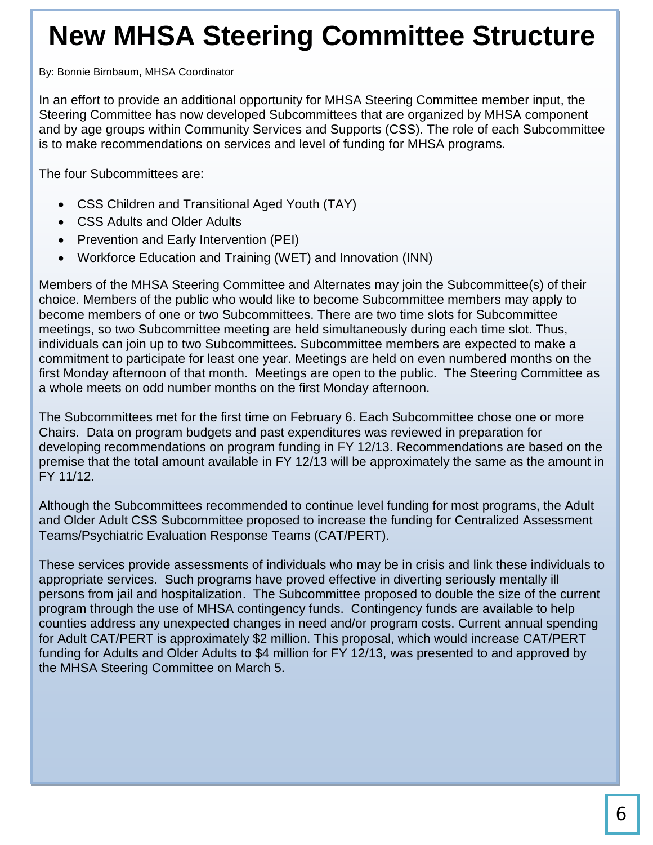# **New MHSA Steering Committee Structure**

By: Bonnie Birnbaum, MHSA Coordinator

In an effort to provide an additional opportunity for MHSA Steering Committee member input, the Steering Committee has now developed Subcommittees that are organized by MHSA component and by age groups within Community Services and Supports (CSS). The role of each Subcommittee is to make recommendations on services and level of funding for MHSA programs.

The four Subcommittees are:

- CSS Children and Transitional Aged Youth (TAY)
- CSS Adults and Older Adults
- Prevention and Early Intervention (PEI)
- Workforce Education and Training (WET) and Innovation (INN)

Members of the MHSA Steering Committee and Alternates may join the Subcommittee(s) of their choice. Members of the public who would like to become Subcommittee members may apply to become members of one or two Subcommittees. There are two time slots for Subcommittee meetings, so two Subcommittee meeting are held simultaneously during each time slot. Thus, individuals can join up to two Subcommittees. Subcommittee members are expected to make a commitment to participate for least one year. Meetings are held on even numbered months on the first Monday afternoon of that month. Meetings are open to the public. The Steering Committee as a whole meets on odd number months on the first Monday afternoon.

The Subcommittees met for the first time on February 6. Each Subcommittee chose one or more Chairs. Data on program budgets and past expenditures was reviewed in preparation for developing recommendations on program funding in FY 12/13. Recommendations are based on the premise that the total amount available in FY 12/13 will be approximately the same as the amount in FY 11/12.

Although the Subcommittees recommended to continue level funding for most programs, the Adult and Older Adult CSS Subcommittee proposed to increase the funding for Centralized Assessment Teams/Psychiatric Evaluation Response Teams (CAT/PERT).

These services provide assessments of individuals who may be in crisis and link these individuals to appropriate services. Such programs have proved effective in diverting seriously mentally ill persons from jail and hospitalization. The Subcommittee proposed to double the size of the current program through the use of MHSA contingency funds. Contingency funds are available to help counties address any unexpected changes in need and/or program costs. Current annual spending for Adult CAT/PERT is approximately \$2 million. This proposal, which would increase CAT/PERT funding for Adults and Older Adults to \$4 million for FY 12/13, was presented to and approved by the MHSA Steering Committee on March 5.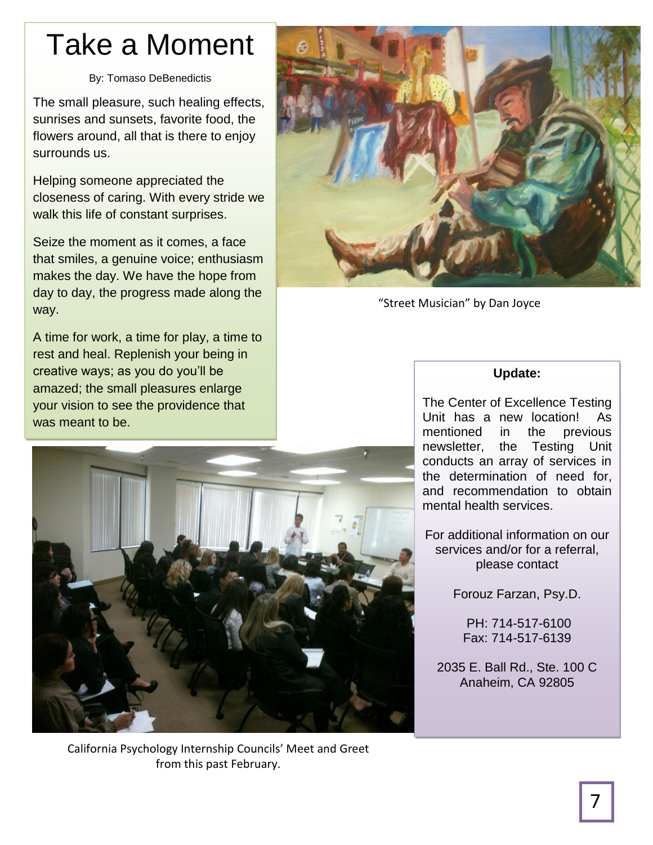# Take a Moment

### By: Tomaso DeBenedictis

The small pleasure, such healing effects, sunrises and sunsets, favorite food, the flowers around, all that is there to enjoy surrounds us.

Helping someone appreciated the closeness of caring. With every stride we walk this life of constant surprises.

Seize the moment as it comes, a face that smiles, a genuine voice; enthusiasm makes the day. We have the hope from day to day, the progress made along the way.

A time for work, a time for play, a time to rest and heal. Replenish your being in creative ways; as you do you'll be amazed; the small pleasures enlarge your vision to see the providence that was meant to be.



"Street Musician" by Dan Joyce

## **Update:**

The Center of Excellence Testing Unit has a new location! As mentioned in the previous newsletter, the Testing Unit conducts an array of services in the determination of need for, and recommendation to obtain mental health services.

For additional information on our services and/or for a referral, please contact

Forouz Farzan, Psy.D.

PH: 714-517-6100 Fax: 714-517-6139

2035 E. Ball Rd., Ste. 100 C Anaheim, CA 92805



California Psychology Internship Councils' Meet and Greet from this past February.